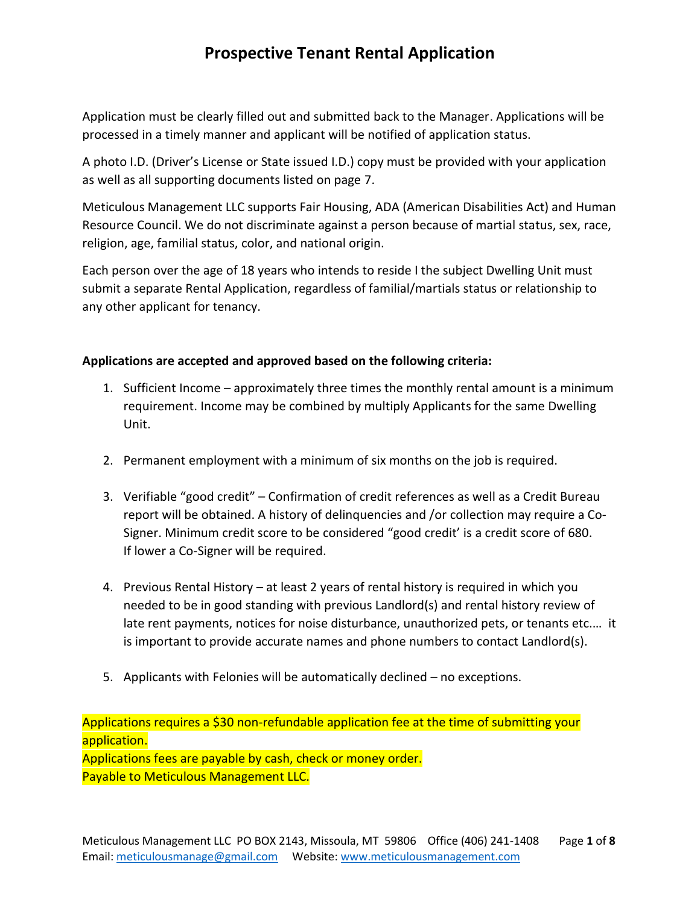Application must be clearly filled out and submitted back to the Manager. Applications will be processed in a timely manner and applicant will be notified of application status.

A photo I.D. (Driver's License or State issued I.D.) copy must be provided with your application as well as all supporting documents listed on page 7.

Meticulous Management LLC supports Fair Housing, ADA (American Disabilities Act) and Human Resource Council. We do not discriminate against a person because of martial status, sex, race, religion, age, familial status, color, and national origin.

Each person over the age of 18 years who intends to reside I the subject Dwelling Unit must submit a separate Rental Application, regardless of familial/martials status or relationship to any other applicant for tenancy.

#### **Applications are accepted and approved based on the following criteria:**

- 1. Sufficient Income approximately three times the monthly rental amount is a minimum requirement. Income may be combined by multiply Applicants for the same Dwelling Unit.
- 2. Permanent employment with a minimum of six months on the job is required.
- 3. Verifiable "good credit" Confirmation of credit references as well as a Credit Bureau report will be obtained. A history of delinquencies and /or collection may require a Co-Signer. Minimum credit score to be considered "good credit' is a credit score of 680. If lower a Co-Signer will be required.
- 4. Previous Rental History at least 2 years of rental history is required in which you needed to be in good standing with previous Landlord(s) and rental history review of late rent payments, notices for noise disturbance, unauthorized pets, or tenants etc.… it is important to provide accurate names and phone numbers to contact Landlord(s).
- 5. Applicants with Felonies will be automatically declined no exceptions.

Applications requires a \$30 non-refundable application fee at the time of submitting your application. Applications fees are payable by cash, check or money order. Payable to Meticulous Management LLC.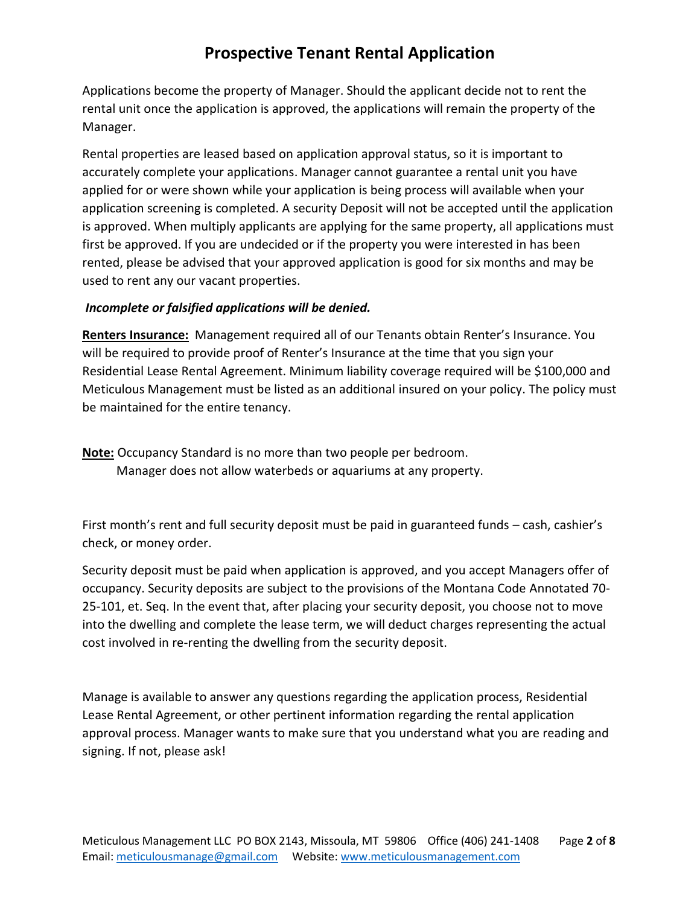Applications become the property of Manager. Should the applicant decide not to rent the rental unit once the application is approved, the applications will remain the property of the Manager.

Rental properties are leased based on application approval status, so it is important to accurately complete your applications. Manager cannot guarantee a rental unit you have applied for or were shown while your application is being process will available when your application screening is completed. A security Deposit will not be accepted until the application is approved. When multiply applicants are applying for the same property, all applications must first be approved. If you are undecided or if the property you were interested in has been rented, please be advised that your approved application is good for six months and may be used to rent any our vacant properties.

#### *Incomplete or falsified applications will be denied.*

**Renters Insurance:** Management required all of our Tenants obtain Renter's Insurance. You will be required to provide proof of Renter's Insurance at the time that you sign your Residential Lease Rental Agreement. Minimum liability coverage required will be \$100,000 and Meticulous Management must be listed as an additional insured on your policy. The policy must be maintained for the entire tenancy.

**Note:** Occupancy Standard is no more than two people per bedroom. Manager does not allow waterbeds or aquariums at any property.

First month's rent and full security deposit must be paid in guaranteed funds – cash, cashier's check, or money order.

Security deposit must be paid when application is approved, and you accept Managers offer of occupancy. Security deposits are subject to the provisions of the Montana Code Annotated 70- 25-101, et. Seq. In the event that, after placing your security deposit, you choose not to move into the dwelling and complete the lease term, we will deduct charges representing the actual cost involved in re-renting the dwelling from the security deposit.

Manage is available to answer any questions regarding the application process, Residential Lease Rental Agreement, or other pertinent information regarding the rental application approval process. Manager wants to make sure that you understand what you are reading and signing. If not, please ask!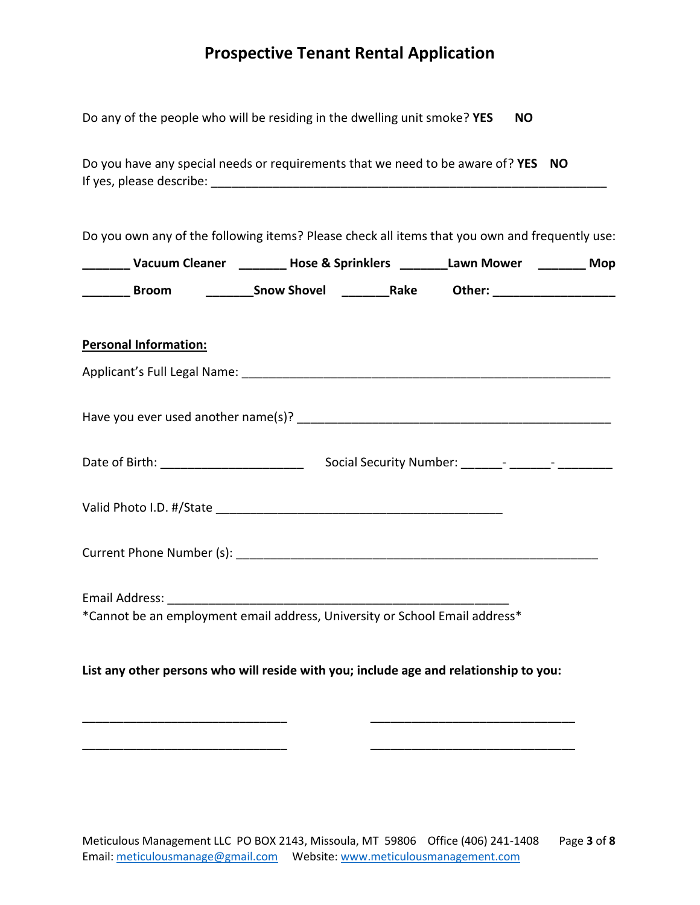| Do any of the people who will be residing in the dwelling unit smoke? YES |  |  |  |  |  | <b>NO</b> |
|---------------------------------------------------------------------------|--|--|--|--|--|-----------|
|---------------------------------------------------------------------------|--|--|--|--|--|-----------|

Do you have any special needs or requirements that we need to be aware of? **YES NO** If yes, please describe:  $\blacksquare$ 

Do you own any of the following items? Please check all items that you own and frequently use:

| Vacuum Cleaner | <b>Hose &amp; Sprinklers</b> |      | Lawn Mower | <b>Mop</b> |
|----------------|------------------------------|------|------------|------------|
| <b>Broom</b>   | <b>Snow Shovel</b>           | Rake | Other:     |            |

#### **Personal Information:**

| Applicant's Full Legal Name:        |  |
|-------------------------------------|--|
|                                     |  |
| Have you ever used another name(s)? |  |
|                                     |  |

| Date of Birth: | <b>Social Security Number:</b> |  |  |
|----------------|--------------------------------|--|--|
|                |                                |  |  |

| Valid Photo I.D. #/State |  |
|--------------------------|--|
|                          |  |

Current Phone Number (s): \_\_\_\_\_\_\_\_\_\_\_\_\_\_\_\_\_\_\_\_\_\_\_\_\_\_\_\_\_\_\_\_\_\_\_\_\_\_\_\_\_\_\_\_\_\_\_\_\_\_\_\_\_

Email Address: \_\_\_\_\_\_\_\_\_\_\_\_\_\_\_\_\_\_\_\_\_\_\_\_\_\_\_\_\_\_\_\_\_\_\_\_\_\_\_\_\_\_\_\_\_\_\_\_\_\_ \*Cannot be an employment email address, University or School Email address\*

#### **List any other persons who will reside with you; include age and relationship to you:**

\_\_\_\_\_\_\_\_\_\_\_\_\_\_\_\_\_\_\_\_\_\_\_\_\_\_\_\_\_\_ \_\_\_\_\_\_\_\_\_\_\_\_\_\_\_\_\_\_\_\_\_\_\_\_\_\_\_\_\_\_

\_\_\_\_\_\_\_\_\_\_\_\_\_\_\_\_\_\_\_\_\_\_\_\_\_\_\_\_\_\_ \_\_\_\_\_\_\_\_\_\_\_\_\_\_\_\_\_\_\_\_\_\_\_\_\_\_\_\_\_\_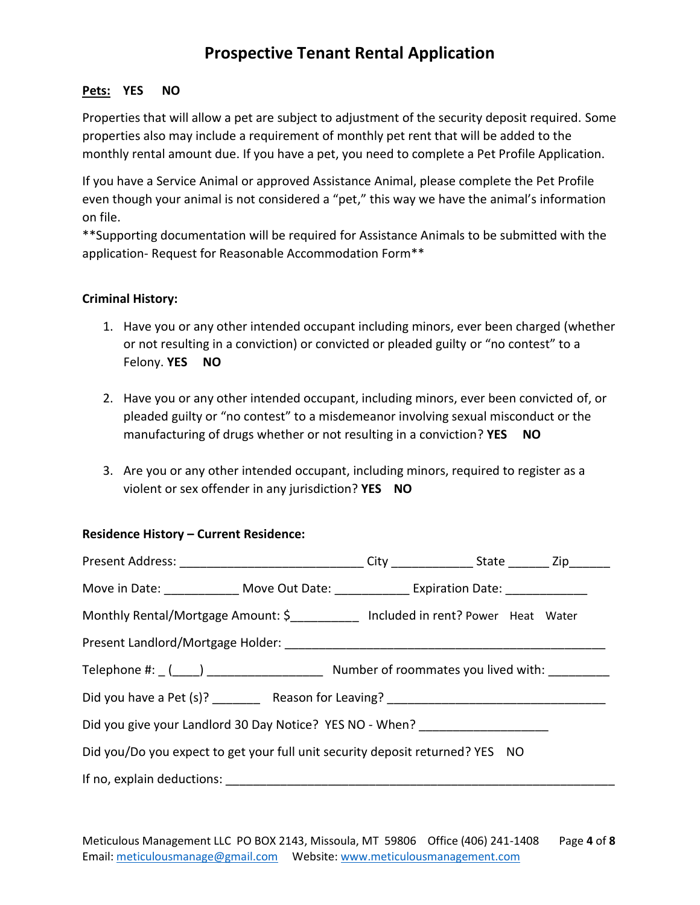#### **Pets: YES NO**

Properties that will allow a pet are subject to adjustment of the security deposit required. Some properties also may include a requirement of monthly pet rent that will be added to the monthly rental amount due. If you have a pet, you need to complete a Pet Profile Application.

If you have a Service Animal or approved Assistance Animal, please complete the Pet Profile even though your animal is not considered a "pet," this way we have the animal's information on file.

\*\*Supporting documentation will be required for Assistance Animals to be submitted with the application- Request for Reasonable Accommodation Form\*\*

#### **Criminal History:**

- 1. Have you or any other intended occupant including minors, ever been charged (whether or not resulting in a conviction) or convicted or pleaded guilty or "no contest" to a Felony. **YES NO**
- 2. Have you or any other intended occupant, including minors, ever been convicted of, or pleaded guilty or "no contest" to a misdemeanor involving sexual misconduct or the manufacturing of drugs whether or not resulting in a conviction? **YES NO**
- 3. Are you or any other intended occupant, including minors, required to register as a violent or sex offender in any jurisdiction? **YES NO**

#### **Residence History – Current Residence:**

| Present Address: _______________________________City _______________State ________Zip________                                                                                                                            |  |  |  |  |  |
|--------------------------------------------------------------------------------------------------------------------------------------------------------------------------------------------------------------------------|--|--|--|--|--|
| Move in Date: ______________ Move Out Date: _____________ Expiration Date: _____________                                                                                                                                 |  |  |  |  |  |
| Monthly Rental/Mortgage Amount: \$<br>___________________________________ Included in rent? Power Heat Water                                                                                                             |  |  |  |  |  |
|                                                                                                                                                                                                                          |  |  |  |  |  |
| Telephone #: $($ $($ $)$ $)$ $($ $)$ $)$ $($ $)$ $($ $)$ $($ $)$ $($ $)$ $($ $)$ $($ $)$ $($ $)$ $($ $)$ $($ $)$ $($ $)$ $($ $)$ $($ $)$ $($ $)$ $($ $)$ $($ $)$ $($ $)$ $($ $)$ $($ $)$ $($ $)$ $($ $)$ $($ $)$ $($ $)$ |  |  |  |  |  |
| Did you have a Pet (s)? _________ Reason for Leaving? ___________________________                                                                                                                                        |  |  |  |  |  |
| Did you give your Landlord 30 Day Notice? YES NO - When? _______________________                                                                                                                                         |  |  |  |  |  |
| Did you/Do you expect to get your full unit security deposit returned? YES NO                                                                                                                                            |  |  |  |  |  |
|                                                                                                                                                                                                                          |  |  |  |  |  |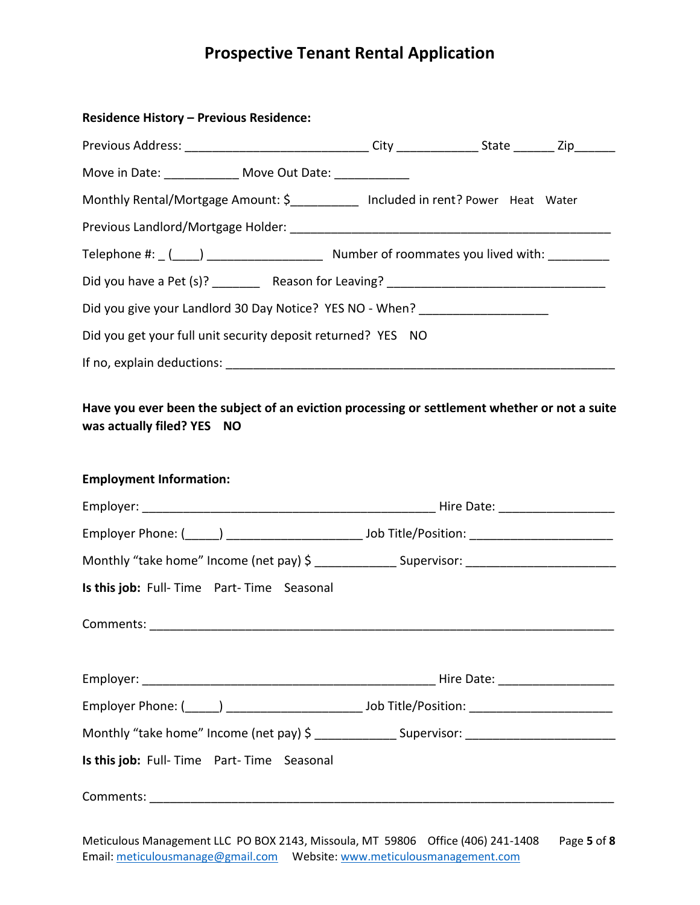| <b>Residence History - Previous Residence:</b>                                                        |  |  |
|-------------------------------------------------------------------------------------------------------|--|--|
|                                                                                                       |  |  |
| Move in Date: _______________ Move Out Date: _____________                                            |  |  |
| Monthly Rental/Mortgage Amount: \$____________ Included in rent? Power Heat Water                     |  |  |
|                                                                                                       |  |  |
|                                                                                                       |  |  |
|                                                                                                       |  |  |
| Did you give your Landlord 30 Day Notice? YES NO - When? _______________________                      |  |  |
| Did you get your full unit security deposit returned? YES NO                                          |  |  |
|                                                                                                       |  |  |
| <b>Employment Information:</b>                                                                        |  |  |
|                                                                                                       |  |  |
| Monthly "take home" Income (net pay) \$ _________________Supervisor: ________________________________ |  |  |
| Is this job: Full-Time Part-Time Seasonal                                                             |  |  |
|                                                                                                       |  |  |
|                                                                                                       |  |  |
|                                                                                                       |  |  |
| Monthly "take home" Income (net pay) \$ _________________Supervisor: ________________________________ |  |  |
| Is this job: Full-Time Part-Time Seasonal                                                             |  |  |
|                                                                                                       |  |  |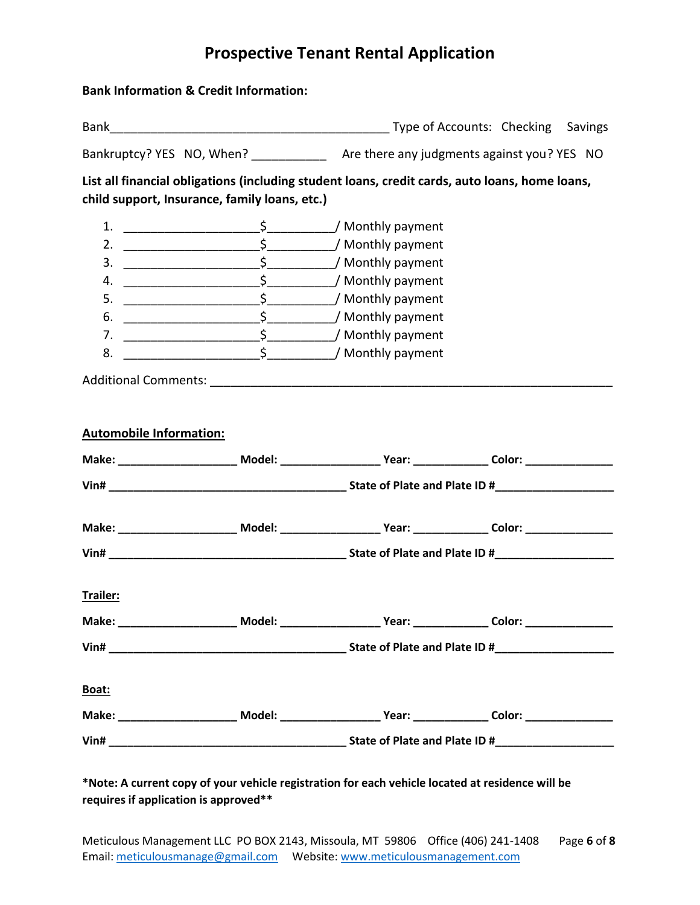#### **Bank Information & Credit Information:**

| Bank                      | Type of Accounts: Checking                  | Savings |
|---------------------------|---------------------------------------------|---------|
| Bankruptcy? YES NO, When? | Are there any judgments against you? YES NO |         |

**List all financial obligations (including student loans, credit cards, auto loans, home loans, child support, Insurance, family loans, etc.)**

|    | ' Monthly payment |
|----|-------------------|
| 2. | / Monthly payment |
| 3. | ' Monthly payment |
|    | ' Monthly payment |
| 5. | ' Monthly payment |
| 6  | / Monthly payment |
| 7. | Monthly payment   |
| 8. | Monthly payment   |

Additional Comments: \_\_\_\_\_\_\_\_\_\_\_\_\_\_\_\_\_\_\_\_\_\_\_\_\_\_\_\_\_\_\_\_\_\_\_\_\_\_\_\_\_\_\_\_\_\_\_\_\_\_\_\_\_\_\_\_\_\_\_

| <b>Automobile Information:</b>                                                                                 |  |  |
|----------------------------------------------------------------------------------------------------------------|--|--|
| Make: ___________________________ Model: ________________________Year: __________________Color: ______________ |  |  |
|                                                                                                                |  |  |
|                                                                                                                |  |  |
|                                                                                                                |  |  |
| Trailer:                                                                                                       |  |  |
| Make: __________________________ Model: _________________________Year: ___________________Color: _____________ |  |  |
|                                                                                                                |  |  |
| Boat:                                                                                                          |  |  |
|                                                                                                                |  |  |
|                                                                                                                |  |  |

#### **\*Note: A current copy of your vehicle registration for each vehicle located at residence will be requires if application is approved\*\***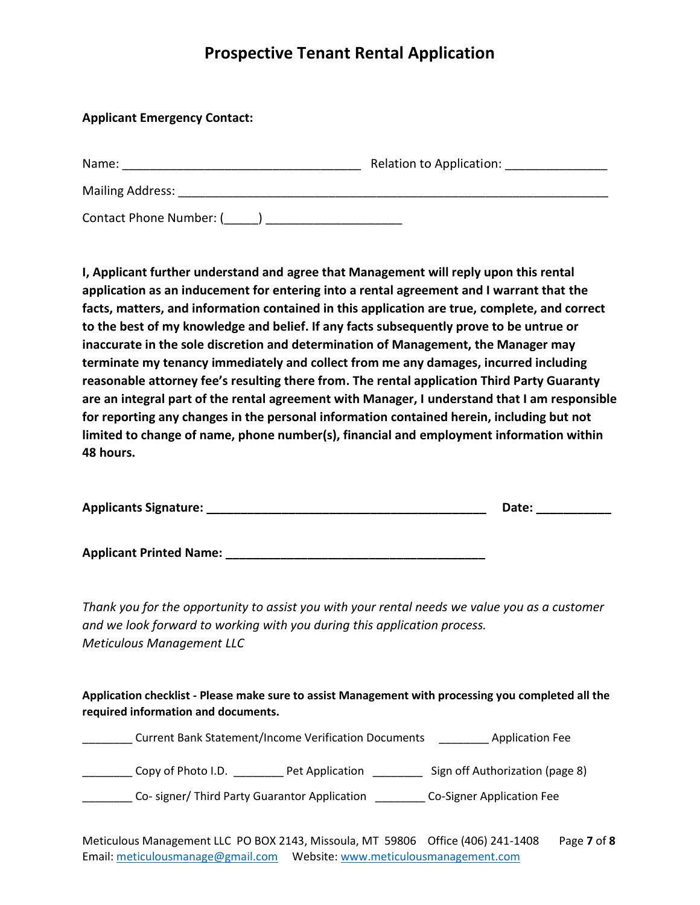#### **Applicant Emergency Contact:**

| Name:                   | Relation to Application: |
|-------------------------|--------------------------|
| <b>Mailing Address:</b> |                          |
| Contact Phone Number: ( |                          |

**I, Applicant further understand and agree that Management will reply upon this rental application as an inducement for entering into a rental agreement and I warrant that the facts, matters, and information contained in this application are true, complete, and correct to the best of my knowledge and belief. If any facts subsequently prove to be untrue or inaccurate in the sole discretion and determination of Management, the Manager may terminate my tenancy immediately and collect from me any damages, incurred including reasonable attorney fee's resulting there from. The rental application Third Party Guaranty are an integral part of the rental agreement with Manager, I understand that I am responsible for reporting any changes in the personal information contained herein, including but not limited to change of name, phone number(s), financial and employment information within 48 hours.**

| <b>Applicants Signature:</b> | Date. |
|------------------------------|-------|
|------------------------------|-------|

**Applicant Printed Name: \_\_\_\_\_\_\_\_\_\_\_\_\_\_\_\_\_\_\_\_\_\_\_\_\_\_\_\_\_\_\_\_\_\_\_\_\_\_**

*Thank you for the opportunity to assist you with your rental needs we value you as a customer and we look forward to working with you during this application process. Meticulous Management LLC*

**Application checklist - Please make sure to assist Management with processing you completed all the required information and documents.**

\_\_\_\_\_\_\_\_ Current Bank Statement/Income Verification Documents \_\_\_\_\_\_\_\_ Application Fee

\_\_\_\_\_\_\_\_ Copy of Photo I.D. \_\_\_\_\_\_\_\_ Pet Application \_\_\_\_\_\_\_\_ Sign off Authorization (page 8)

\_\_\_\_\_\_\_\_ Co- signer/ Third Party Guarantor Application \_\_\_\_\_\_\_\_ Co-Signer Application Fee